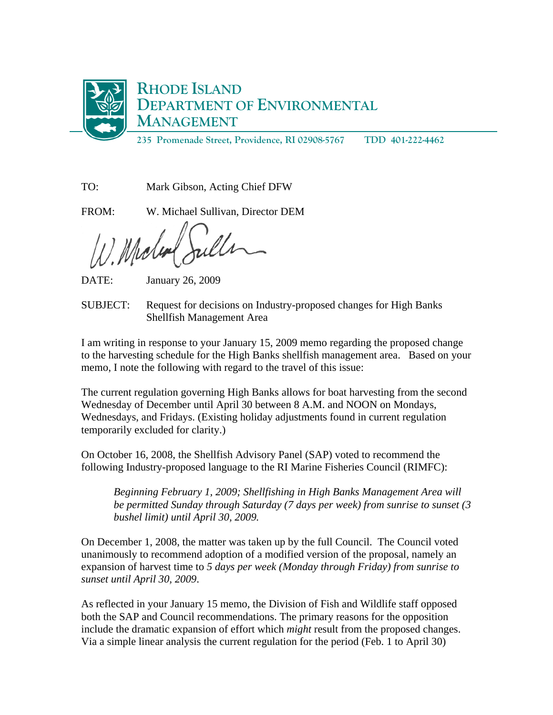

TO: Mark Gibson, Acting Chief DFW

FROM: W. Michael Sullivan, Director DEM

Melu

DATE: January 26, 2009

SUBJECT: Request for decisions on Industry-proposed changes for High Banks Shellfish Management Area

I am writing in response to your January 15, 2009 memo regarding the proposed change to the harvesting schedule for the High Banks shellfish management area. Based on your memo, I note the following with regard to the travel of this issue:

The current regulation governing High Banks allows for boat harvesting from the second Wednesday of December until April 30 between 8 A.M. and NOON on Mondays, Wednesdays, and Fridays. (Existing holiday adjustments found in current regulation temporarily excluded for clarity.)

On October 16, 2008, the Shellfish Advisory Panel (SAP) voted to recommend the following Industry-proposed language to the RI Marine Fisheries Council (RIMFC):

*Beginning February 1, 2009; Shellfishing in High Banks Management Area will be permitted Sunday through Saturday (7 days per week) from sunrise to sunset (3 bushel limit) until April 30, 2009.* 

On December 1, 2008, the matter was taken up by the full Council. The Council voted unanimously to recommend adoption of a modified version of the proposal, namely an expansion of harvest time to *5 days per week (Monday through Friday) from sunrise to sunset until April 30, 2009*.

As reflected in your January 15 memo, the Division of Fish and Wildlife staff opposed both the SAP and Council recommendations. The primary reasons for the opposition include the dramatic expansion of effort which *might* result from the proposed changes. Via a simple linear analysis the current regulation for the period (Feb. 1 to April 30)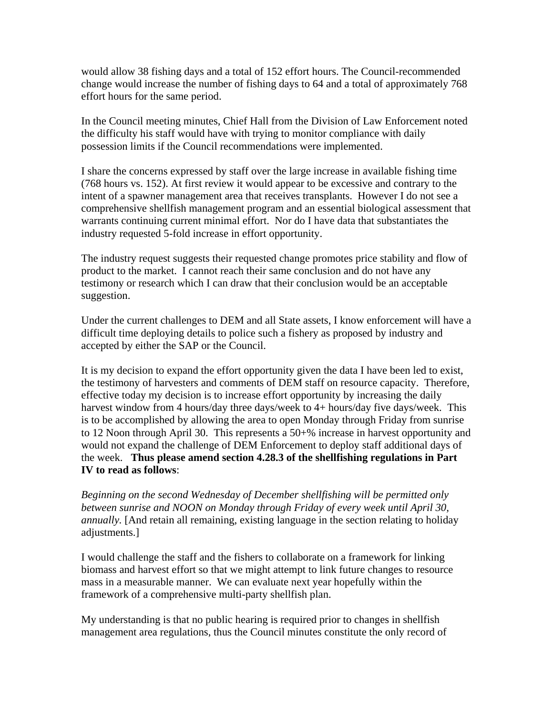would allow 38 fishing days and a total of 152 effort hours. The Council-recommended change would increase the number of fishing days to 64 and a total of approximately 768 effort hours for the same period.

In the Council meeting minutes, Chief Hall from the Division of Law Enforcement noted the difficulty his staff would have with trying to monitor compliance with daily possession limits if the Council recommendations were implemented.

I share the concerns expressed by staff over the large increase in available fishing time (768 hours vs. 152). At first review it would appear to be excessive and contrary to the intent of a spawner management area that receives transplants. However I do not see a comprehensive shellfish management program and an essential biological assessment that warrants continuing current minimal effort. Nor do I have data that substantiates the industry requested 5-fold increase in effort opportunity.

The industry request suggests their requested change promotes price stability and flow of product to the market. I cannot reach their same conclusion and do not have any testimony or research which I can draw that their conclusion would be an acceptable suggestion.

Under the current challenges to DEM and all State assets, I know enforcement will have a difficult time deploying details to police such a fishery as proposed by industry and accepted by either the SAP or the Council.

It is my decision to expand the effort opportunity given the data I have been led to exist, the testimony of harvesters and comments of DEM staff on resource capacity. Therefore, effective today my decision is to increase effort opportunity by increasing the daily harvest window from 4 hours/day three days/week to 4+ hours/day five days/week. This is to be accomplished by allowing the area to open Monday through Friday from sunrise to 12 Noon through April 30. This represents a 50+% increase in harvest opportunity and would not expand the challenge of DEM Enforcement to deploy staff additional days of the week. **Thus please amend section 4.28.3 of the shellfishing regulations in Part IV to read as follows**:

*Beginning on the second Wednesday of December shellfishing will be permitted only between sunrise and NOON on Monday through Friday of every week until April 30, annually.* [And retain all remaining, existing language in the section relating to holiday adjustments.]

I would challenge the staff and the fishers to collaborate on a framework for linking biomass and harvest effort so that we might attempt to link future changes to resource mass in a measurable manner. We can evaluate next year hopefully within the framework of a comprehensive multi-party shellfish plan.

My understanding is that no public hearing is required prior to changes in shellfish management area regulations, thus the Council minutes constitute the only record of